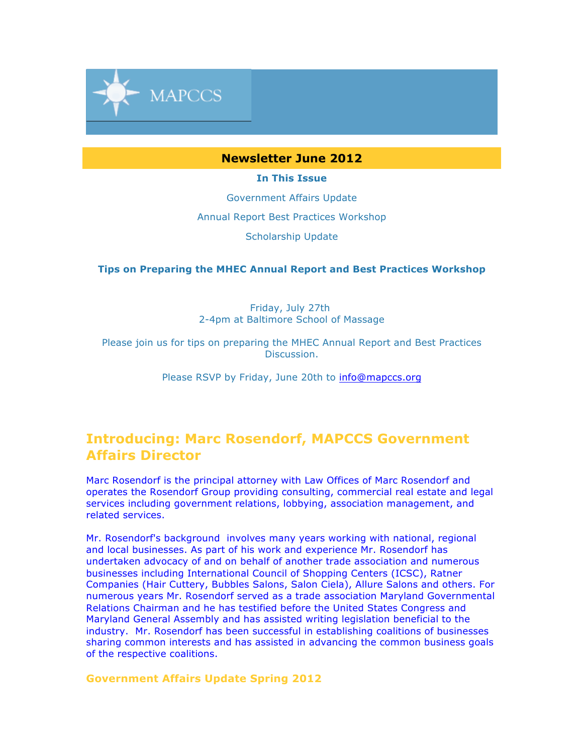

## **Newsletter June 2012**

**In This Issue**

Government Affairs Update

Annual Report Best Practices Workshop

Scholarship Update

**Tips on Preparing the MHEC Annual Report and Best Practices Workshop**

Friday, July 27th 2-4pm at Baltimore School of Massage

Please join us for tips on preparing the MHEC Annual Report and Best Practices Discussion.

Please RSVP by Friday, June 20th to info@mapccs.org

## **Introducing: Marc Rosendorf, MAPCCS Government Affairs Director**

Marc Rosendorf is the principal attorney with Law Offices of Marc Rosendorf and operates the Rosendorf Group providing consulting, commercial real estate and legal services including government relations, lobbying, association management, and related services.

Mr. Rosendorf's background involves many years working with national, regional and local businesses. As part of his work and experience Mr. Rosendorf has undertaken advocacy of and on behalf of another trade association and numerous businesses including International Council of Shopping Centers (ICSC), Ratner Companies (Hair Cuttery, Bubbles Salons, Salon Ciela), Allure Salons and others. For numerous years Mr. Rosendorf served as a trade association Maryland Governmental Relations Chairman and he has testified before the United States Congress and Maryland General Assembly and has assisted writing legislation beneficial to the industry. Mr. Rosendorf has been successful in establishing coalitions of businesses sharing common interests and has assisted in advancing the common business goals of the respective coalitions.

## **Government Affairs Update Spring 2012**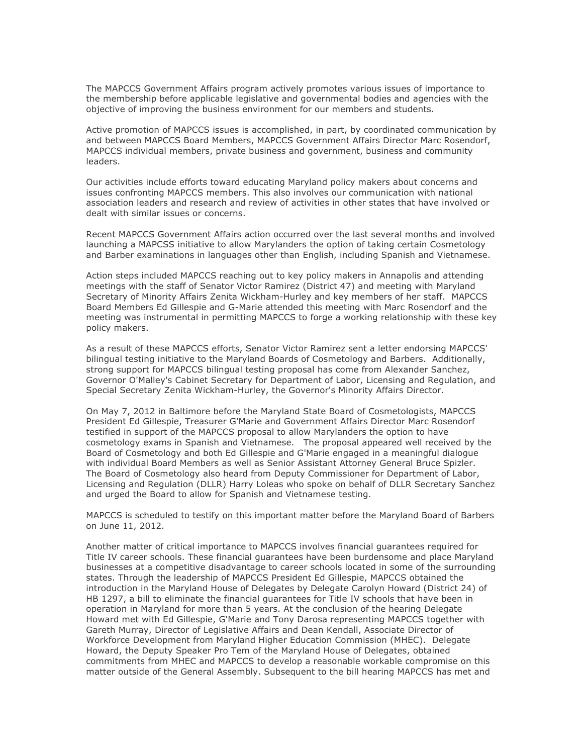The MAPCCS Government Affairs program actively promotes various issues of importance to the membership before applicable legislative and governmental bodies and agencies with the objective of improving the business environment for our members and students.

Active promotion of MAPCCS issues is accomplished, in part, by coordinated communication by and between MAPCCS Board Members, MAPCCS Government Affairs Director Marc Rosendorf, MAPCCS individual members, private business and government, business and community leaders.

Our activities include efforts toward educating Maryland policy makers about concerns and issues confronting MAPCCS members. This also involves our communication with national association leaders and research and review of activities in other states that have involved or dealt with similar issues or concerns.

Recent MAPCCS Government Affairs action occurred over the last several months and involved launching a MAPCSS initiative to allow Marylanders the option of taking certain Cosmetology and Barber examinations in languages other than English, including Spanish and Vietnamese.

Action steps included MAPCCS reaching out to key policy makers in Annapolis and attending meetings with the staff of Senator Victor Ramirez (District 47) and meeting with Maryland Secretary of Minority Affairs Zenita Wickham-Hurley and key members of her staff. MAPCCS Board Members Ed Gillespie and G-Marie attended this meeting with Marc Rosendorf and the meeting was instrumental in permitting MAPCCS to forge a working relationship with these key policy makers.

As a result of these MAPCCS efforts, Senator Victor Ramirez sent a letter endorsing MAPCCS' bilingual testing initiative to the Maryland Boards of Cosmetology and Barbers. Additionally, strong support for MAPCCS bilingual testing proposal has come from Alexander Sanchez, Governor O'Malley's Cabinet Secretary for Department of Labor, Licensing and Regulation, and Special Secretary Zenita Wickham-Hurley, the Governor's Minority Affairs Director.

On May 7, 2012 in Baltimore before the Maryland State Board of Cosmetologists, MAPCCS President Ed Gillespie, Treasurer G'Marie and Government Affairs Director Marc Rosendorf testified in support of the MAPCCS proposal to allow Marylanders the option to have cosmetology exams in Spanish and Vietnamese. The proposal appeared well received by the Board of Cosmetology and both Ed Gillespie and G'Marie engaged in a meaningful dialogue with individual Board Members as well as Senior Assistant Attorney General Bruce Spizler. The Board of Cosmetology also heard from Deputy Commissioner for Department of Labor, Licensing and Regulation (DLLR) Harry Loleas who spoke on behalf of DLLR Secretary Sanchez and urged the Board to allow for Spanish and Vietnamese testing.

MAPCCS is scheduled to testify on this important matter before the Maryland Board of Barbers on June 11, 2012.

Another matter of critical importance to MAPCCS involves financial guarantees required for Title IV career schools. These financial guarantees have been burdensome and place Maryland businesses at a competitive disadvantage to career schools located in some of the surrounding states. Through the leadership of MAPCCS President Ed Gillespie, MAPCCS obtained the introduction in the Maryland House of Delegates by Delegate Carolyn Howard (District 24) of HB 1297, a bill to eliminate the financial guarantees for Title IV schools that have been in operation in Maryland for more than 5 years. At the conclusion of the hearing Delegate Howard met with Ed Gillespie, G'Marie and Tony Darosa representing MAPCCS together with Gareth Murray, Director of Legislative Affairs and Dean Kendall, Associate Director of Workforce Development from Maryland Higher Education Commission (MHEC). Delegate Howard, the Deputy Speaker Pro Tem of the Maryland House of Delegates, obtained commitments from MHEC and MAPCCS to develop a reasonable workable compromise on this matter outside of the General Assembly. Subsequent to the bill hearing MAPCCS has met and